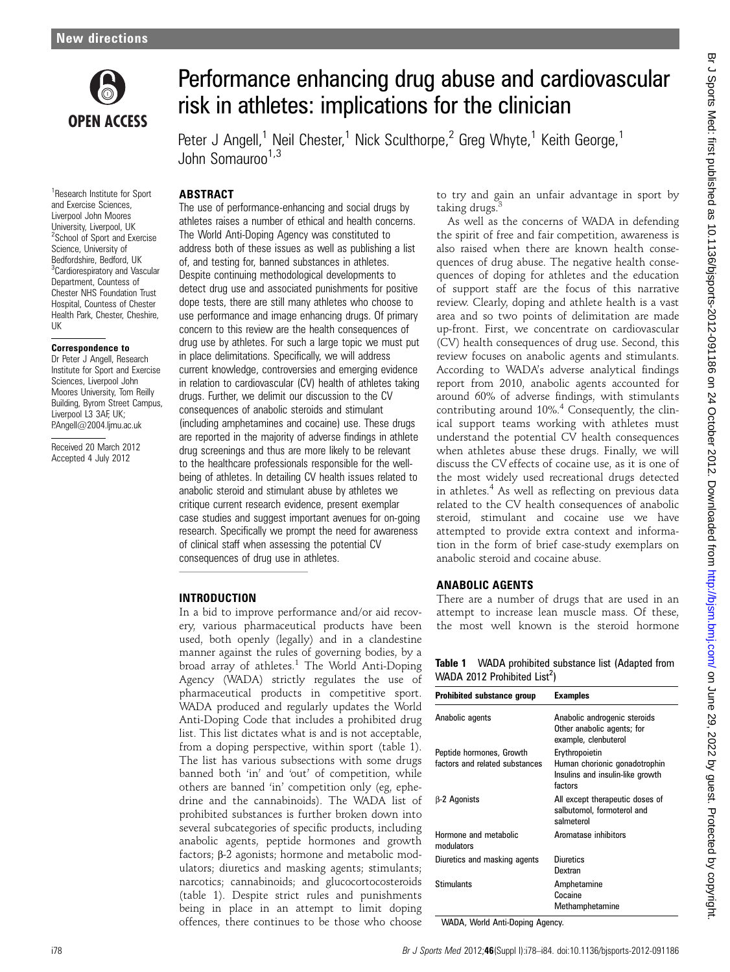

# Performance enhancing drug abuse and cardiovascular risk in athletes: implications for the clinician

Peter J Angell,<sup>1</sup> Neil Chester,<sup>1</sup> Nick Sculthorpe,<sup>2</sup> Greg Whyte,<sup>1</sup> Keith George,<sup>1</sup> John Somauroo<sup>1,3</sup>

## ABSTRACT

and Exercise Sciences, Liverpool John Moores University, Liverpool, UK 2 School of Sport and Exercise Science, University of Bedfordshire, Bedford, UK <sup>3</sup> Cardiorespiratory and Vascular Department, Countess of Chester NHS Foundation Trust Hospital, Countess of Chester Health Park, Chester, Cheshire, UK

1 Research Institute for Sport

#### Correspondence to

Dr Peter J Angell, Research Institute for Sport and Exercise Sciences, Liverpool John Moores University, Tom Reilly Building, Byrom Street Campus, Liverpool L3 3AF, UK; P.Angell@2004.ljmu.ac.uk

Received 20 March 2012 Accepted 4 July 2012

The use of performance-enhancing and social drugs by athletes raises a number of ethical and health concerns. The World Anti-Doping Agency was constituted to address both of these issues as well as publishing a list of, and testing for, banned substances in athletes. Despite continuing methodological developments to detect drug use and associated punishments for positive dope tests, there are still many athletes who choose to use performance and image enhancing drugs. Of primary concern to this review are the health consequences of drug use by athletes. For such a large topic we must put in place delimitations. Specifically, we will address current knowledge, controversies and emerging evidence in relation to cardiovascular (CV) health of athletes taking drugs. Further, we delimit our discussion to the CV consequences of anabolic steroids and stimulant (including amphetamines and cocaine) use. These drugs are reported in the majority of adverse findings in athlete drug screenings and thus are more likely to be relevant to the healthcare professionals responsible for the wellbeing of athletes. In detailing CV health issues related to anabolic steroid and stimulant abuse by athletes we critique current research evidence, present exemplar case studies and suggest important avenues for on-going research. Specifically we prompt the need for awareness of clinical staff when assessing the potential CV consequences of drug use in athletes.

#### INTRODUCTION

In a bid to improve performance and/or aid recovery, various pharmaceutical products have been used, both openly (legally) and in a clandestine manner against the rules of governing bodies, by a broad array of athletes.<sup>1</sup> The World Anti-Doping Agency (WADA) strictly regulates the use of pharmaceutical products in competitive sport. WADA produced and regularly updates the World Anti-Doping Code that includes a prohibited drug list. This list dictates what is and is not acceptable, from a doping perspective, within sport (table 1). The list has various subsections with some drugs banned both 'in' and 'out' of competition, while others are banned 'in' competition only (eg, ephedrine and the cannabinoids). The WADA list of prohibited substances is further broken down into several subcategories of specific products, including anabolic agents, peptide hormones and growth factors; β-2 agonists; hormone and metabolic modulators; diuretics and masking agents; stimulants; narcotics; cannabinoids; and glucocortocosteroids (table 1). Despite strict rules and punishments being in place in an attempt to limit doping offences, there continues to be those who choose to try and gain an unfair advantage in sport by taking drugs.

As well as the concerns of WADA in defending the spirit of free and fair competition, awareness is also raised when there are known health consequences of drug abuse. The negative health consequences of doping for athletes and the education of support staff are the focus of this narrative review. Clearly, doping and athlete health is a vast area and so two points of delimitation are made up-front. First, we concentrate on cardiovascular (CV) health consequences of drug use. Second, this review focuses on anabolic agents and stimulants. According to WADA's adverse analytical findings report from 2010, anabolic agents accounted for around 60% of adverse findings, with stimulants contributing around 10%.<sup>4</sup> Consequently, the clinical support teams working with athletes must understand the potential CV health consequences when athletes abuse these drugs. Finally, we will discuss the CV effects of cocaine use, as it is one of the most widely used recreational drugs detected in athletes.<sup>4</sup> As well as reflecting on previous data related to the CV health consequences of anabolic steroid, stimulant and cocaine use we have attempted to provide extra context and information in the form of brief case-study exemplars on anabolic steroid and cocaine abuse.

## ANABOLIC AGENTS

There are a number of drugs that are used in an attempt to increase lean muscle mass. Of these, the most well known is the steroid hormone

### Table 1 WADA prohibited substance list (Adapted from WADA 2012 Prohibited List<sup>2</sup>)

| <b>Prohibited substance group</b>                          | Examples                                                                                       |
|------------------------------------------------------------|------------------------------------------------------------------------------------------------|
| Anabolic agents                                            | Anabolic androgenic steroids<br>Other anabolic agents; for<br>example, clenbuterol             |
| Peptide hormones, Growth<br>factors and related substances | Erythropoietin<br>Human chorionic gonadotrophin<br>Insulins and insulin-like growth<br>factors |
| B-2 Agonists                                               | All except therapeutic doses of<br>salbutomol, formoterol and<br>salmeterol                    |
| Hormone and metabolic<br>modulators                        | Aromatase inhibitors                                                                           |
| Diuretics and masking agents                               | <b>Diuretics</b><br>Dextran                                                                    |
| <b>Stimulants</b>                                          | Amphetamine<br>Cocaine<br>Methamphetamine                                                      |

WADA, World Anti-Doping Agency.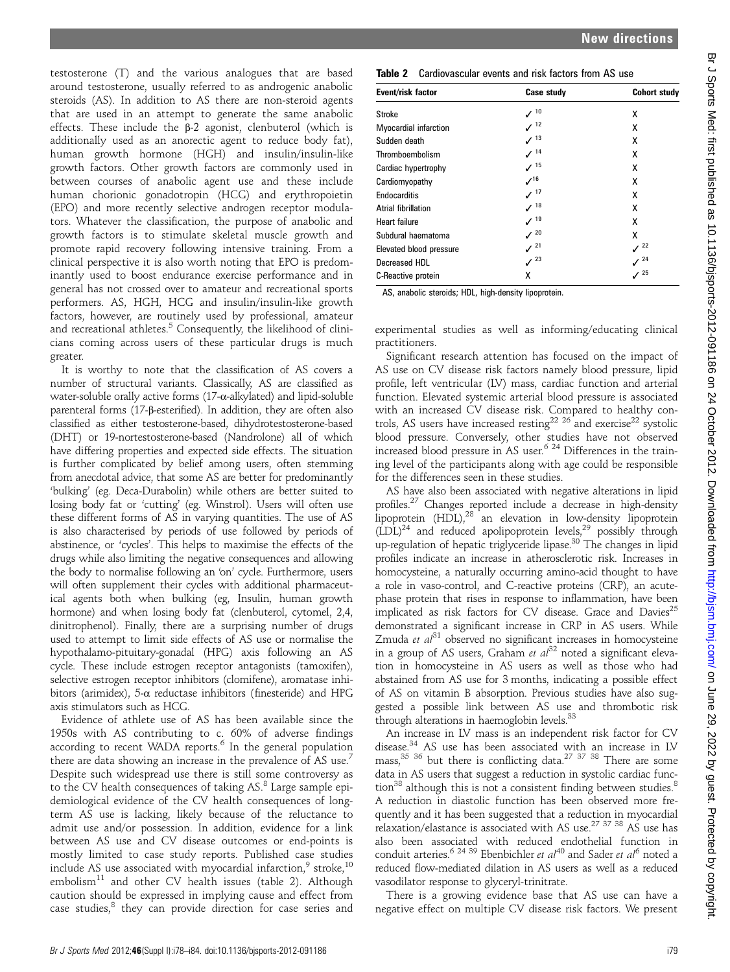testosterone (T) and the various analogues that are based around testosterone, usually referred to as androgenic anabolic steroids (AS). In addition to AS there are non-steroid agents that are used in an attempt to generate the same anabolic effects. These include the  $β-2$  agonist, clenbuterol (which is additionally used as an anorectic agent to reduce body fat), human growth hormone (HGH) and insulin/insulin-like growth factors. Other growth factors are commonly used in between courses of anabolic agent use and these include human chorionic gonadotropin (HCG) and erythropoietin (EPO) and more recently selective androgen receptor modulators. Whatever the classification, the purpose of anabolic and growth factors is to stimulate skeletal muscle growth and promote rapid recovery following intensive training. From a clinical perspective it is also worth noting that EPO is predominantly used to boost endurance exercise performance and in general has not crossed over to amateur and recreational sports performers. AS, HGH, HCG and insulin/insulin-like growth factors, however, are routinely used by professional, amateur and recreational athletes.<sup>5</sup> Consequently, the likelihood of clinicians coming across users of these particular drugs is much greater.

It is worthy to note that the classification of AS covers a number of structural variants. Classically, AS are classified as water-soluble orally active forms (17-α-alkylated) and lipid-soluble parenteral forms (17-β-esterified). In addition, they are often also classified as either testosterone-based, dihydrotestosterone-based (DHT) or 19-nortestosterone-based (Nandrolone) all of which have differing properties and expected side effects. The situation is further complicated by belief among users, often stemming from anecdotal advice, that some AS are better for predominantly 'bulking' (eg. Deca-Durabolin) while others are better suited to losing body fat or 'cutting' (eg. Winstrol). Users will often use these different forms of AS in varying quantities. The use of AS is also characterised by periods of use followed by periods of abstinence, or 'cycles'. This helps to maximise the effects of the drugs while also limiting the negative consequences and allowing the body to normalise following an 'on' cycle. Furthermore, users will often supplement their cycles with additional pharmaceutical agents both when bulking (eg, Insulin, human growth hormone) and when losing body fat (clenbuterol, cytomel, 2,4, dinitrophenol). Finally, there are a surprising number of drugs used to attempt to limit side effects of AS use or normalise the hypothalamo-pituitary-gonadal (HPG) axis following an AS cycle. These include estrogen receptor antagonists (tamoxifen), selective estrogen receptor inhibitors (clomifene), aromatase inhibitors (arimidex), 5- $\alpha$  reductase inhibitors (finesteride) and HPG axis stimulators such as HCG.

Evidence of athlete use of AS has been available since the 1950s with AS contributing to c. 60% of adverse findings according to recent WADA reports.<sup>6</sup> In the general population there are data showing an increase in the prevalence of AS use.<sup>7</sup> Despite such widespread use there is still some controversy as to the CV health consequences of taking  $AS<sup>8</sup>$  Large sample epidemiological evidence of the CV health consequences of longterm AS use is lacking, likely because of the reluctance to admit use and/or possession. In addition, evidence for a link between AS use and CV disease outcomes or end-points is mostly limited to case study reports. Published case studies include AS use associated with myocardial infarction, $9$  stroke,  $10$  $embolism<sup>11</sup>$  and other CV health issues (table 2). Although caution should be expressed in implying cause and effect from case studies,<sup>8</sup> they can provide direction for case series and

| <b>Table 2</b> Cardiovascular events and risk factors from AS use |  |  |
|-------------------------------------------------------------------|--|--|
|                                                                   |  |  |

| Event/risk factor          | <b>Case study</b>          | <b>Cohort study</b>             |
|----------------------------|----------------------------|---------------------------------|
| <b>Stroke</b>              | $\checkmark$ <sup>10</sup> | X                               |
| Myocardial infarction      | $\frac{12}{12}$            | X                               |
| Sudden death               | $\sqrt{^{13}}$             | Χ                               |
| Thromboembolism            | 14                         | X                               |
| Cardiac hypertrophy        | $\sqrt{15}$                | X                               |
| Cardiomyopathy             | $\mathcal{I}^{16}$         | χ                               |
| <b>Endocarditis</b>        | J <sup>17</sup>            | X                               |
| <b>Atrial fibrillation</b> | 18                         | x                               |
| Heart failure              | 19                         | X                               |
| Subdural haematoma         | $\prime$ 20                | χ                               |
| Elevated blood pressure    | $J^{21}$                   | $J^{22}$                        |
| Decreased HDL              | $\sqrt{23}$                | $\frac{1}{2}$                   |
| C-Reactive protein         | χ                          | $\boldsymbol{\mathcal{N}}^{25}$ |

AS, anabolic steroids; HDL, high-density lipoprotein.

experimental studies as well as informing/educating clinical practitioners.

Significant research attention has focused on the impact of AS use on CV disease risk factors namely blood pressure, lipid profile, left ventricular (LV) mass, cardiac function and arterial function. Elevated systemic arterial blood pressure is associated with an increased CV disease risk. Compared to healthy controls, AS users have increased resting<sup>22 26</sup> and exercise<sup>22</sup> systolic blood pressure. Conversely, other studies have not observed increased blood pressure in AS user.<sup>6 24</sup> Differences in the training level of the participants along with age could be responsible for the differences seen in these studies.

AS have also been associated with negative alterations in lipid profiles.27 Changes reported include a decrease in high-density lipoprotein (HDL),<sup>28</sup> an elevation in low-density lipoprotein  $(LDL)^{24}$  and reduced apolipoprotein levels,<sup>29</sup> possibly through up-regulation of hepatic triglyceride lipase.<sup>30</sup> The changes in lipid profiles indicate an increase in atherosclerotic risk. Increases in homocysteine, a naturally occurring amino-acid thought to have a role in vaso-control, and C-reactive proteins (CRP), an acutephase protein that rises in response to inflammation, have been implicated as risk factors for CV disease. Grace and Davies<sup>25</sup> demonstrated a significant increase in CRP in AS users. While Zmuda et  $al^{31}$  observed no significant increases in homocysteine in a group of AS users, Graham et  $a^{32}$  noted a significant elevation in homocysteine in AS users as well as those who had abstained from AS use for 3 months, indicating a possible effect of AS on vitamin B absorption. Previous studies have also suggested a possible link between AS use and thrombotic risk through alterations in haemoglobin levels.<sup>33</sup>

An increase in LV mass is an independent risk factor for CV disease.<sup>34</sup> AS use has been associated with an increase in LV mass,  $35^{36}$  but there is conflicting data.<sup>27 37 38</sup> There are some data in AS users that suggest a reduction in systolic cardiac function<sup>38</sup> although this is not a consistent finding between studies.<sup>8</sup> A reduction in diastolic function has been observed more frequently and it has been suggested that a reduction in myocardial relaxation/elastance is associated with AS use.<sup>27 37 38</sup> AS use has also been associated with reduced endothelial function in conduit arteries.<sup>6 24 39</sup> Ebenbichler et  $al^{40}$  and Sader et  $al^{6}$  noted a reduced flow-mediated dilation in AS users as well as a reduced vasodilator response to glyceryl-trinitrate.

There is a growing evidence base that AS use can have a negative effect on multiple CV disease risk factors. We present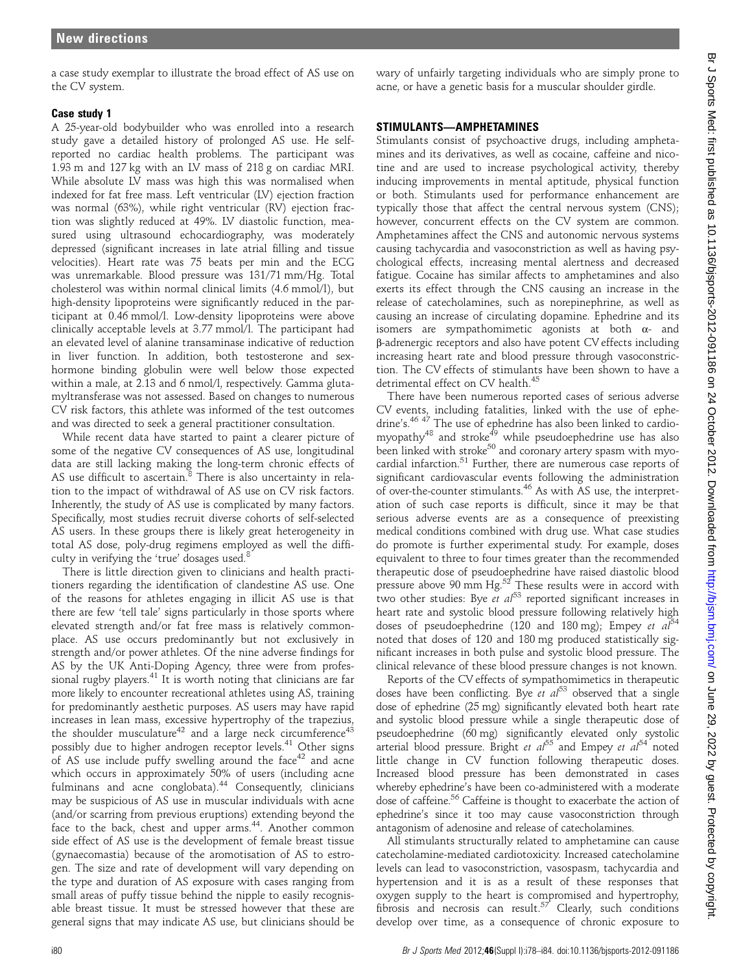a case study exemplar to illustrate the broad effect of AS use on the CV system.

### Case study 1

A 25-year-old bodybuilder who was enrolled into a research study gave a detailed history of prolonged AS use. He selfreported no cardiac health problems. The participant was 1.93 m and 127 kg with an LV mass of 218 g on cardiac MRI. While absolute LV mass was high this was normalised when indexed for fat free mass. Left ventricular (LV) ejection fraction was normal (63%), while right ventricular (RV) ejection fraction was slightly reduced at 49%. LV diastolic function, measured using ultrasound echocardiography, was moderately depressed (significant increases in late atrial filling and tissue velocities). Heart rate was 75 beats per min and the ECG was unremarkable. Blood pressure was 131/71 mm/Hg. Total cholesterol was within normal clinical limits (4.6 mmol/l), but high-density lipoproteins were significantly reduced in the participant at 0.46 mmol/l. Low-density lipoproteins were above clinically acceptable levels at 3.77 mmol/l. The participant had an elevated level of alanine transaminase indicative of reduction in liver function. In addition, both testosterone and sexhormone binding globulin were well below those expected within a male, at 2.13 and 6 nmol/l, respectively. Gamma glutamyltransferase was not assessed. Based on changes to numerous CV risk factors, this athlete was informed of the test outcomes and was directed to seek a general practitioner consultation.

While recent data have started to paint a clearer picture of some of the negative CV consequences of AS use, longitudinal data are still lacking making the long-term chronic effects of AS use difficult to ascertain.<sup>8</sup> There is also uncertainty in relation to the impact of withdrawal of AS use on CV risk factors. Inherently, the study of AS use is complicated by many factors. Specifically, most studies recruit diverse cohorts of self-selected AS users. In these groups there is likely great heterogeneity in total AS dose, poly-drug regimens employed as well the difficulty in verifying the 'true' dosages used.<sup>8</sup>

There is little direction given to clinicians and health practitioners regarding the identification of clandestine AS use. One of the reasons for athletes engaging in illicit AS use is that there are few 'tell tale' signs particularly in those sports where elevated strength and/or fat free mass is relatively commonplace. AS use occurs predominantly but not exclusively in strength and/or power athletes. Of the nine adverse findings for AS by the UK Anti-Doping Agency, three were from professional rugby players.<sup>41</sup> It is worth noting that clinicians are far more likely to encounter recreational athletes using AS, training for predominantly aesthetic purposes. AS users may have rapid increases in lean mass, excessive hypertrophy of the trapezius, the shoulder musculature<sup>42</sup> and a large neck circumference<sup>43</sup> possibly due to higher androgen receptor levels.<sup>41</sup> Other signs of AS use include puffy swelling around the face $42$  and acne which occurs in approximately 50% of users (including acne fulminans and acne conglobata).<sup>44</sup> Consequently, clinicians may be suspicious of AS use in muscular individuals with acne (and/or scarring from previous eruptions) extending beyond the face to the back, chest and upper arms.<sup>44</sup>. Another common side effect of AS use is the development of female breast tissue (gynaecomastia) because of the aromotisation of AS to estrogen. The size and rate of development will vary depending on the type and duration of AS exposure with cases ranging from small areas of puffy tissue behind the nipple to easily recognisable breast tissue. It must be stressed however that these are general signs that may indicate AS use, but clinicians should be

wary of unfairly targeting individuals who are simply prone to acne, or have a genetic basis for a muscular shoulder girdle.

## STIMULANTS—AMPHETAMINES

Stimulants consist of psychoactive drugs, including amphetamines and its derivatives, as well as cocaine, caffeine and nicotine and are used to increase psychological activity, thereby inducing improvements in mental aptitude, physical function or both. Stimulants used for performance enhancement are typically those that affect the central nervous system (CNS); however, concurrent effects on the CV system are common. Amphetamines affect the CNS and autonomic nervous systems causing tachycardia and vasoconstriction as well as having psychological effects, increasing mental alertness and decreased fatigue. Cocaine has similar affects to amphetamines and also exerts its effect through the CNS causing an increase in the release of catecholamines, such as norepinephrine, as well as causing an increase of circulating dopamine. Ephedrine and its isomers are sympathomimetic agonists at both  $\alpha$ - and β-adrenergic receptors and also have potent CV effects including increasing heart rate and blood pressure through vasoconstriction. The CV effects of stimulants have been shown to have a detrimental effect on CV health.<sup>45</sup>

There have been numerous reported cases of serious adverse CV events, including fatalities, linked with the use of ephedrine's.<sup>46 47</sup> The use of ephedrine has also been linked to cardiomyopathy<sup>48</sup> and stroke<sup>49</sup> while pseudoephedrine use has also been linked with stroke<sup>50</sup> and coronary artery spasm with myocardial infarction. $51$  Further, there are numerous case reports of significant cardiovascular events following the administration of over-the-counter stimulants.46 As with AS use, the interpretation of such case reports is difficult, since it may be that serious adverse events are as a consequence of preexisting medical conditions combined with drug use. What case studies do promote is further experimental study. For example, doses equivalent to three to four times greater than the recommended therapeutic dose of pseudoephedrine have raised diastolic blood pressure above 90 mm  $Hg$ .<sup>52</sup> These results were in accord with two other studies: Bye et  $a^{53}$  reported significant increases in heart rate and systolic blood pressure following relatively high doses of pseudoephedrine (120 and 180 mg); Empey et  $a^{\overline{154}}$ noted that doses of 120 and 180 mg produced statistically significant increases in both pulse and systolic blood pressure. The clinical relevance of these blood pressure changes is not known.

Reports of the CV effects of sympathomimetics in therapeutic doses have been conflicting. Bye et  $a^{53}$  observed that a single dose of ephedrine (25 mg) significantly elevated both heart rate and systolic blood pressure while a single therapeutic dose of pseudoephedrine (60 mg) significantly elevated only systolic arterial blood pressure. Bright et  $a l^{55}$  and Empey et  $a l^{54}$  noted little change in CV function following therapeutic doses. Increased blood pressure has been demonstrated in cases whereby ephedrine's have been co-administered with a moderate dose of caffeine.<sup>56</sup> Caffeine is thought to exacerbate the action of ephedrine's since it too may cause vasoconstriction through antagonism of adenosine and release of catecholamines.

All stimulants structurally related to amphetamine can cause catecholamine-mediated cardiotoxicity. Increased catecholamine levels can lead to vasoconstriction, vasospasm, tachycardia and hypertension and it is as a result of these responses that oxygen supply to the heart is compromised and hypertrophy, fibrosis and necrosis can result. $57$  Clearly, such conditions develop over time, as a consequence of chronic exposure to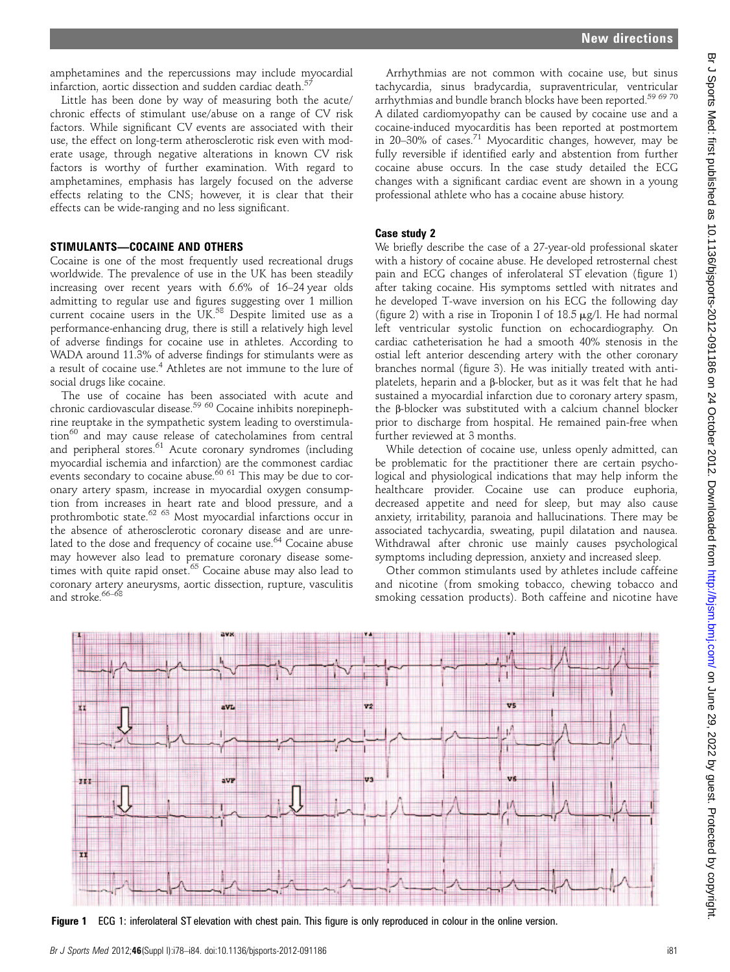amphetamines and the repercussions may include myocardial infarction, aortic dissection and sudden cardiac death.<sup>5</sup>

Little has been done by way of measuring both the acute/ chronic effects of stimulant use/abuse on a range of CV risk factors. While significant CV events are associated with their use, the effect on long-term atherosclerotic risk even with moderate usage, through negative alterations in known CV risk factors is worthy of further examination. With regard to amphetamines, emphasis has largely focused on the adverse effects relating to the CNS; however, it is clear that their effects can be wide-ranging and no less significant.

#### STIMULANTS—COCAINE AND OTHERS

Cocaine is one of the most frequently used recreational drugs worldwide. The prevalence of use in the UK has been steadily increasing over recent years with 6.6% of 16–24 year olds admitting to regular use and figures suggesting over 1 million current cocaine users in the UK.<sup>58</sup> Despite limited use as a performance-enhancing drug, there is still a relatively high level of adverse findings for cocaine use in athletes. According to WADA around 11.3% of adverse findings for stimulants were as a result of cocaine use.<sup>4</sup> Athletes are not immune to the lure of social drugs like cocaine.

The use of cocaine has been associated with acute and chronic cardiovascular disease.<sup>59 60</sup> Cocaine inhibits norepinephrine reuptake in the sympathetic system leading to overstimulation<sup>60</sup> and may cause release of catecholamines from central and peripheral stores. $61$  Acute coronary syndromes (including myocardial ischemia and infarction) are the commonest cardiac events secondary to cocaine abuse. $60\,61$  This may be due to coronary artery spasm, increase in myocardial oxygen consumption from increases in heart rate and blood pressure, and a prothrombotic state.62 63 Most myocardial infarctions occur in the absence of atherosclerotic coronary disease and are unrelated to the dose and frequency of cocaine use.<sup>64</sup> Cocaine abuse may however also lead to premature coronary disease sometimes with quite rapid onset.<sup>65</sup> Cocaine abuse may also lead to coronary artery aneurysms, aortic dissection, rupture, vasculitis and stroke.<sup>66–68</sup>

Arrhythmias are not common with cocaine use, but sinus tachycardia, sinus bradycardia, supraventricular, ventricular arrhythmias and bundle branch blocks have been reported.<sup>59 69 70</sup> A dilated cardiomyopathy can be caused by cocaine use and a cocaine-induced myocarditis has been reported at postmortem in 20–30% of cases.<sup>71</sup> Myocarditic changes, however, may be fully reversible if identified early and abstention from further cocaine abuse occurs. In the case study detailed the ECG changes with a significant cardiac event are shown in a young professional athlete who has a cocaine abuse history.

#### Case study 2

We briefly describe the case of a 27-year-old professional skater with a history of cocaine abuse. He developed retrosternal chest pain and ECG changes of inferolateral ST elevation (figure 1) after taking cocaine. His symptoms settled with nitrates and he developed T-wave inversion on his ECG the following day (figure 2) with a rise in Troponin I of 18.5  $\mu$ g/l. He had normal left ventricular systolic function on echocardiography. On cardiac catheterisation he had a smooth 40% stenosis in the ostial left anterior descending artery with the other coronary branches normal (figure 3). He was initially treated with antiplatelets, heparin and a β-blocker, but as it was felt that he had sustained a myocardial infarction due to coronary artery spasm, the β-blocker was substituted with a calcium channel blocker prior to discharge from hospital. He remained pain-free when further reviewed at 3 months.

While detection of cocaine use, unless openly admitted, can be problematic for the practitioner there are certain psychological and physiological indications that may help inform the healthcare provider. Cocaine use can produce euphoria, decreased appetite and need for sleep, but may also cause anxiety, irritability, paranoia and hallucinations. There may be associated tachycardia, sweating, pupil dilatation and nausea. Withdrawal after chronic use mainly causes psychological symptoms including depression, anxiety and increased sleep.

Other common stimulants used by athletes include caffeine and nicotine (from smoking tobacco, chewing tobacco and smoking cessation products). Both caffeine and nicotine have



Figure 1 ECG 1: inferolateral ST elevation with chest pain. This figure is only reproduced in colour in the online version.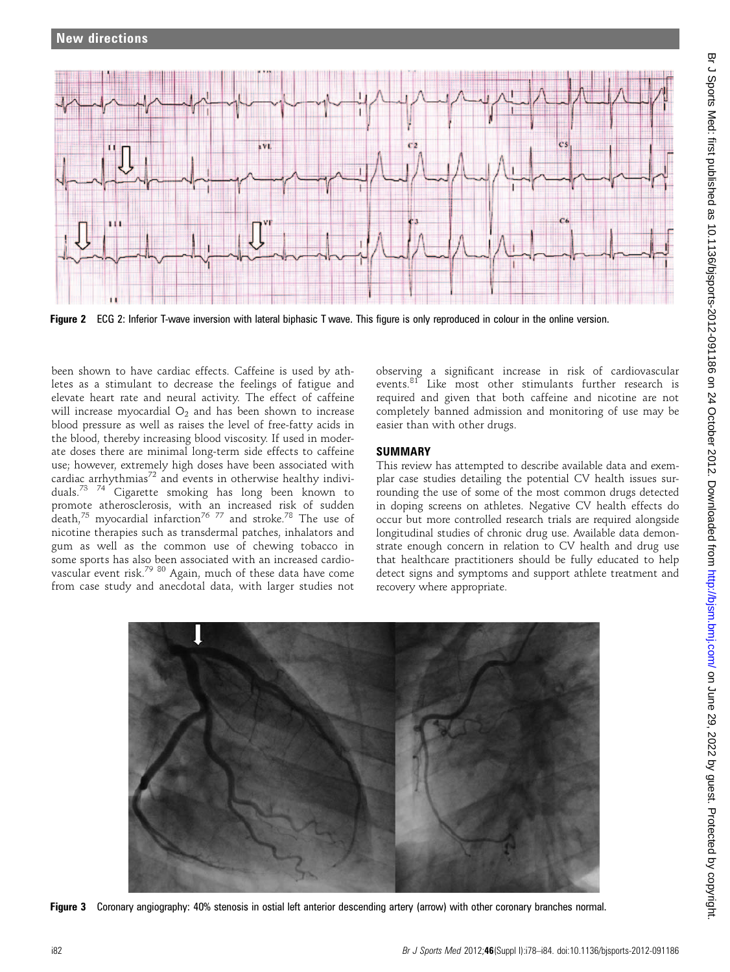

Figure 2 ECG 2: Inferior T-wave inversion with lateral biphasic T wave. This figure is only reproduced in colour in the online version.

been shown to have cardiac effects. Caffeine is used by athletes as a stimulant to decrease the feelings of fatigue and elevate heart rate and neural activity. The effect of caffeine will increase myocardial  $O_2$  and has been shown to increase blood pressure as well as raises the level of free-fatty acids in the blood, thereby increasing blood viscosity. If used in moderate doses there are minimal long-term side effects to caffeine use; however, extremely high doses have been associated with cardiac arrhythmias $^{72}$  and events in otherwise healthy individuals.73 74 Cigarette smoking has long been known to promote atherosclerosis, with an increased risk of sudden death, $^{75}$  myocardial infarction $^{76}$   $^{77}$  and stroke. $^{78}$  The use of nicotine therapies such as transdermal patches, inhalators and gum as well as the common use of chewing tobacco in some sports has also been associated with an increased cardiovascular event risk.79 80 Again, much of these data have come from case study and anecdotal data, with larger studies not observing a significant increase in risk of cardiovascular events.<sup>81</sup> Like most other stimulants further research is required and given that both caffeine and nicotine are not completely banned admission and monitoring of use may be easier than with other drugs.

## **SUMMARY**

This review has attempted to describe available data and exemplar case studies detailing the potential CV health issues surrounding the use of some of the most common drugs detected in doping screens on athletes. Negative CV health effects do occur but more controlled research trials are required alongside longitudinal studies of chronic drug use. Available data demonstrate enough concern in relation to CV health and drug use that healthcare practitioners should be fully educated to help detect signs and symptoms and support athlete treatment and recovery where appropriate.



Figure 3 Coronary angiography: 40% stenosis in ostial left anterior descending artery (arrow) with other coronary branches normal.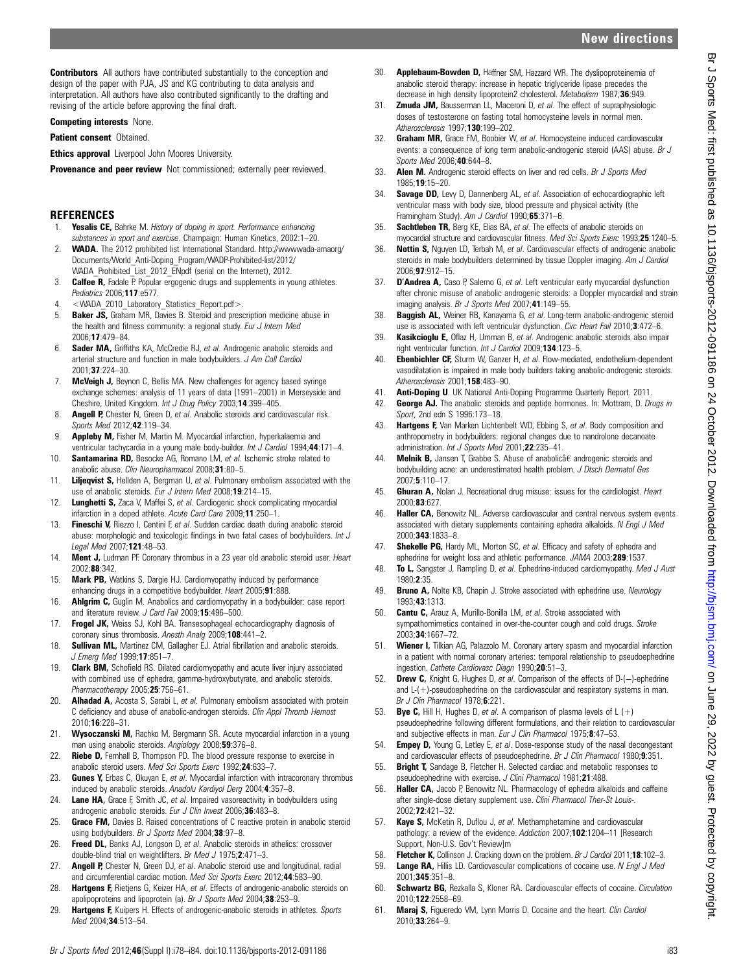**Contributors** All authors have contributed substantially to the conception and design of the paper with PJA, JS and KG contributing to data analysis and interpretation. All authors have also contributed significantly to the drafting and revising of the article before approving the final draft.

Competing interests None.

Patient consent Obtained.

**Ethics approval** Liverpool John Moores University.

**Provenance and peer review** Not commissioned; externally peer reviewed.

#### **REFERENCES**

- 1. **Yesalis CE,** Bahrke M. History of doping in sport. Performance enhancing substances in sport and exercise. Champaign: Human Kinetics, 2002:1–20.
- 2. WADA. The 2012 prohibited list International Standard. [http://wwwwada-amaorg/](http://wwwwada-amaorg/Documents/World_Anti-Doping_Program/WADP-Prohibited-list/2012/WADA_Prohibited_List_2012_ENpdf) [Documents/World\\_Anti-Doping\\_Program/WADP-Prohibited-list/2012/](http://wwwwada-amaorg/Documents/World_Anti-Doping_Program/WADP-Prohibited-list/2012/WADA_Prohibited_List_2012_ENpdf) [WADA\\_Prohibited\\_List\\_2012\\_ENpdf](http://wwwwada-amaorg/Documents/World_Anti-Doping_Program/WADP-Prohibited-list/2012/WADA_Prohibited_List_2012_ENpdf) (serial on the Internet), 2012.
- 3. **Calfee R,** Fadale P. Popular ergogenic drugs and supplements in young athletes. Pediatrics 2006;117:e577.
- 4. < WADA\_2010\_Laboratory\_Statistics\_Report.pdf>.
- 5. **Baker JS,** Graham MR, Davies B. Steroid and prescription medicine abuse in the health and fitness community: a regional study. Eur J Intern Med 2006;17:479–84.
- 6. Sader MA, Griffiths KA, McCredie RJ, et al. Androgenic anabolic steroids and arterial structure and function in male bodybuilders. J Am Coll Cardiol 2001;37:224–30.
- 7. McVeigh J, Beynon C, Bellis MA. New challenges for agency based syringe exchange schemes: analysis of 11 years of data (1991–2001) in Merseyside and Cheshire, United Kingdom. Int J Drug Policy 2003;14:399–405.
- 8. **Angell P,** Chester N, Green D, et al. Anabolic steroids and cardiovascular risk. Sports Med 2012:42:119-34.
- 9. **Appleby M, Fisher M, Martin M. Myocardial infarction, hyperkalaemia and** ventricular tachycardia in a young male body-builder. Int J Cardiol 1994;44:171-4.
- 10. **Santamarina RD,** Besocke AG, Romano LM, et al. Ischemic stroke related to anabolic abuse. Clin Neuropharmacol 2008;31:80-5.
- 11. Liljeqvist S, Hellden A, Bergman U, et al. Pulmonary embolism associated with the use of anabolic steroids. Eur J Intern Med 2008;19:214-15.
- 12. **Lunghetti S,** Zaca V, Maffei S, et al. Cardiogenic shock complicating myocardial infarction in a doped athlete. Acute Card Care 2009;11:250–1.
- 13. Fineschi V, Riezzo I, Centini F, et al. Sudden cardiac death during anabolic steroid abuse: morphologic and toxicologic findings in two fatal cases of bodybuilders. Int J Legal Med 2007;121:48-53.
- 14. Ment J, Ludman PF. Coronary thrombus in a 23 year old anabolic steroid user. Heart 2002;88:342.
- 15. Mark PB, Watkins S, Dargie HJ. Cardiomyopathy induced by performance enhancing drugs in a competitive bodybuilder. Heart 2005;91:888.
- 16. **Ahlgrim C,** Guglin M. Anabolics and cardiomyopathy in a bodybuilder: case report and literature review. J Card Fail 2009;15:496-500.
- 17. Frogel JK, Weiss SJ, Kohl BA. Transesophageal echocardiography diagnosis of coronary sinus thrombosis. Anesth Analg 2009;108:441-2.
- 18. Sullivan ML, Martinez CM, Gallagher EJ. Atrial fibrillation and anabolic steroids. J Emerg Med 1999;17:851–7.
- 19. **Clark BM,** Schofield RS. Dilated cardiomyopathy and acute liver injury associated with combined use of ephedra, gamma-hydroxybutyrate, and anabolic steroids. Pharmacotherapy 2005;25:756-61.
- 20. **Alhadad A,** Acosta S, Sarabi L, et al. Pulmonary embolism associated with protein C deficiency and abuse of anabolic-androgen steroids. Clin Appl Thromb Hemost 2010;16:228–31.
- 21. Wysoczanski M, Rachko M, Bergmann SR. Acute myocardial infarction in a young man using anabolic steroids. Angiology 2008;59:376-8.
- 22. Riebe D, Fernhall B, Thompson PD. The blood pressure response to exercise in anabolic steroid users. Med Sci Sports Exerc 1992;24:633-7.
- 23. Gunes Y, Erbas C, Okuyan E, et al. Myocardial infarction with intracoronary thrombus induced by anabolic steroids. Anadolu Kardiyol Derg 2004;4:357–8.
- 24. Lane HA, Grace F, Smith JC, et al. Impaired vasoreactivity in bodybuilders using androgenic anabolic steroids. Eur J Clin Invest 2006;36:483–8.
- 25. Grace FM, Davies B. Raised concentrations of C reactive protein in anabolic steroid using bodybuilders. Br J Sports Med 2004;38:97-8.
- 26. Freed DL, Banks AJ, Longson D, et al. Anabolic steroids in athelics: crossover double-blind trial on weightlifters. Br Med J 1975;2:471-3.
- 27. Angell P, Chester N, Green DJ, et al. Anabolic steroid use and longitudinal, radial and circumferential cardiac motion. Med Sci Sports Exerc 2012;44:583-90.
- 28. **Hartgens F,** Rietjens G, Keizer HA, et al. Effects of androgenic-anabolic steroids on apolipoproteins and lipoprotein (a). Br J Sports Med 2004;38:253-9.
- 29. Hartgens F, Kuipers H. Effects of androgenic-anabolic steroids in athletes. Sports Med 2004; 34:513-54.
- 30. **Applebaum-Bowden D, Haffner SM, Hazzard WR. The dyslipoproteinemia of** anabolic steroid therapy: increase in hepatic triglyceride lipase precedes the decrease in high density lipoprotein2 cholesterol. Metabolism 1987:36:949.
- 31. **Zmuda JM,** Bausserman LL, Maceroni D, et al. The effect of supraphysiologic doses of testosterone on fasting total homocysteine levels in normal men. Atherosclerosis 1997:130:199-202.
- 32. Graham MR, Grace FM, Boobier W, et al. Homocysteine induced cardiovascular events: a consequence of long term anabolic-androgenic steroid (AAS) abuse. Br J Sports Med 2006;40:644–8.
- 33. Alen M. Androgenic steroid effects on liver and red cells. Br J Sports Med 1985;19:15–20.
- 34. Savage DD, Levy D, Dannenberg AL, et al. Association of echocardiographic left ventricular mass with body size, blood pressure and physical activity (the Framingham Study). Am J Cardiol 1990; 65:371-6.
- 35. Sachtleben TR, Berg KE, Elias BA, et al. The effects of anabolic steroids on myocardial structure and cardiovascular fitness. Med Sci Sports Exerc 1993;25:1240–5.
- 36. Nottin S, Nguyen LD, Terbah M, et al. Cardiovascular effects of androgenic anabolic steroids in male bodybuilders determined by tissue Doppler imaging. Am J Cardiol 2006;97:912–15.
- 37. D'Andrea A, Caso P, Salerno G, et al. Left ventricular early myocardial dysfunction after chronic misuse of anabolic androgenic steroids: a Doppler myocardial and strain imaging analysis. Br J Sports Med 2007;41:149-55.
- 38. Baggish AL, Weiner RB, Kanayama G, et al. Long-term anabolic-androgenic steroid use is associated with left ventricular dysfunction. Circ Heart Fail 2010;3:472-6.
- 39. Kasikcioglu E, Oflaz H, Umman B, et al. Androgenic anabolic steroids also impair right ventricular function. Int J Cardiol 2009:134:123-5.
- 40. **Ebenbichler CF**, Sturm W, Ganzer H, et al. Flow-mediated, endothelium-dependent vasodilatation is impaired in male body builders taking anabolic-androgenic steroids. Atherosclerosis 2001;158:483-90.
- 41. **Anti-Doping U.** UK National Anti-Doping Programme Quarterly Report. 2011.
- 42. George AJ. The anabolic steroids and peptide hormones. In: Mottram, D. Drugs in Sport, 2nd edn S 1996:173–18.
- 43. Hartgens F, Van Marken Lichtenbelt WD, Ebbing S, et al. Body composition and anthropometry in bodybuilders: regional changes due to nandrolone decanoate administration. Int J Sports Med 2001;22:235–41.
- 44. **Melnik B.** Jansen T. Grabbe S. Abuse of anabolicâ $\epsilon$  androgenic steroids and bodybuilding acne: an underestimated health problem. J Dtsch Dermatol Ges 2007;5:110–17.
- 45. Ghuran A, Nolan J. Recreational drug misuse: issues for the cardiologist. Heart 2000;83:627.
- 46. **Haller CA.** Benowitz NL. Adverse cardiovascular and central nervous system events associated with dietary supplements containing ephedra alkaloids. N Engl J Med 2000;343:1833–8.
- 47. Shekelle PG, Hardy ML, Morton SC, et al. Efficacy and safety of ephedra and ephedrine for weight loss and athletic performance. JAMA 2003;289:1537.
- 48. To L, Sangster J, Rampling D, et al. Ephedrine-induced cardiomyopathy. Med J Aust 1980;2:35.
- 49. Bruno A, Nolte KB, Chapin J. Stroke associated with ephedrine use. Neurology 1993;43:1313.
- 50. Cantu C, Arauz A, Murillo-Bonilla LM, et al. Stroke associated with sympathomimetics contained in over-the-counter cough and cold drugs. Stroke 2003;34:1667–72.
- 51. Wiener I, Tilkian AG, Palazzolo M. Coronary artery spasm and myocardial infarction in a patient with normal coronary arteries: temporal relationship to pseudoephedrine ingestion. Cathete Cardiovasc Diagn 1990;20:51–3.
- 52. Drew C, Knight G, Hughes D, et al. Comparison of the effects of D-(−)-ephedrine and L-(+)-pseudoephedrine on the cardiovascular and respiratory systems in man. Br J Clin Pharmacol 1978;6:221.
- 53. Bye C, Hill H, Hughes D, et al. A comparison of plasma levels of L  $(+)$ pseudoephedrine following different formulations, and their relation to cardiovascular and subjective effects in man. Eur J Clin Pharmacol 1975;8:47-53.
- 54. Empey D, Young G, Letley E, et al. Dose-response study of the nasal decongestant and cardiovascular effects of pseudoephedrine. Br J Clin Pharmacol 1980;9:351.
- 55. Bright T, Sandage B, Fletcher H. Selected cardiac and metabolic responses to pseudoephedrine with exercise. J Clini Pharmacol 1981;21:488.
- 56. **Haller CA,** Jacob P, Benowitz NL. Pharmacology of ephedra alkaloids and caffeine after single-dose dietary supplement use. Clini Pharmacol Ther-St Louis-. 2002;72:421–32.
- 57. Kaye S, McKetin R, Duflou J, et al. Methamphetamine and cardiovascular pathology: a review of the evidence. Addiction 2007;102:1204-11 [Research Support, Non-U.S. Gov't Review]m
- 58. Fletcher K, Collinson J. Cracking down on the problem. Br J Cardiol 2011;18:102-3.
- 59. **Lange RA**, Hillis LD. Cardiovascular complications of cocaine use. N Engl J Med 2001;345:351–8.
- 60. Schwartz BG, Rezkalla S, Kloner RA. Cardiovascular effects of cocaine. Circulation 2010;122:2558–69.
- Maraj S, Figueredo VM, Lynn Morris D. Cocaine and the heart. Clin Cardiol 2010;33:264–9.